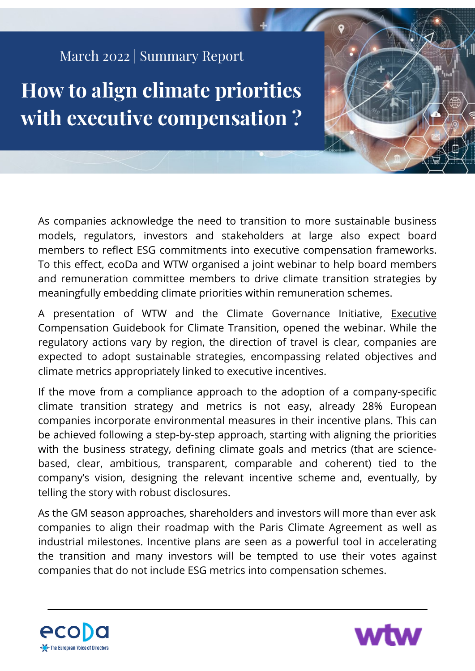## March 2022 | Summary Report

**How to align climate priorities with executive compensation ?**

As companies acknowledge the need to transition to more sustainable business models, regulators, investors and stakeholders at large also expect board members to reflect ESG commitments into executive compensation frameworks. To this effect, ecoDa and WTW organised a joint webinar to help board members and remuneration committee members to drive climate transition strategies by meaningfully embedding climate priorities within remuneration schemes.

A presentation of WTW and the Climate Governance Initiative, Executive [Compensation Guidebook for Climate Transition, opened the webinar. While the](https://www.wtwco.com/en-US/Insights/2021/11/executive-compensation-guidebook-for-climate-transition) regulatory actions vary by region, the direction of travel is clear, companies are expected to adopt sustainable strategies, encompassing related objectives and climate metrics appropriately linked to executive incentives.

If the move from a compliance approach to the adoption of a company-specific climate transition strategy and metrics is not easy, already 28% European companies incorporate environmental measures in their incentive plans. This can be achieved following a step-by-step approach, starting with aligning the priorities with the business strategy, defining climate goals and metrics (that are sciencebased, clear, ambitious, transparent, comparable and coherent) tied to the company's vision, designing the relevant incentive scheme and, eventually, by telling the story with robust disclosures.

As the GM season approaches, shareholders and investors will more than ever ask companies to align their roadmap with the Paris Climate Agreement as well as industrial milestones. Incentive plans are seen as a powerful tool in accelerating the transition and many investors will be tempted to use their votes against companies that do not include ESG metrics into compensation schemes.



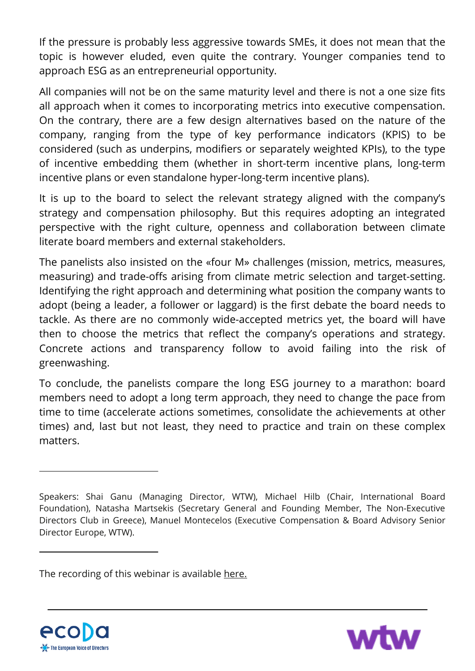If the pressure is probably less aggressive towards SMEs, it does not mean that the topic is however eluded, even quite the contrary. Younger companies tend to approach ESG as an entrepreneurial opportunity.

All companies will not be on the same maturity level and there is not a one size fits all approach when it comes to incorporating metrics into executive compensation. On the contrary, there are a few design alternatives based on the nature of the company, ranging from the type of key performance indicators (KPIS) to be considered (such as underpins, modifiers or separately weighted KPIs), to the type of incentive embedding them (whether in short-term incentive plans, long-term incentive plans or even standalone hyper-long-term incentive plans).

It is up to the board to select the relevant strategy aligned with the company's strategy and compensation philosophy. But this requires adopting an integrated perspective with the right culture, openness and collaboration between climate literate board members and external stakeholders.

The panelists also insisted on the «four M» challenges (mission, metrics, measures, measuring) and trade-offs arising from climate metric selection and target-setting. Identifying the right approach and determining what position the company wants to adopt (being a leader, a follower or laggard) is the first debate the board needs to tackle. As there are no commonly wide-accepted metrics yet, the board will have then to choose the metrics that reflect the company's operations and strategy. Concrete actions and transparency follow to avoid failing into the risk of greenwashing.

To conclude, the panelists compare the long ESG journey to a marathon: board members need to adopt a long term approach, they need to change the pace from time to time (accelerate actions sometimes, consolidate the achievements at other times) and, last but not least, they need to practice and train on these complex matters.

The recording of this webinar is available [here.](https://www.youtube.com/watch?v=QmJ_Tg6_0Hw)





Speakers: Shai Ganu (Managing Director, WTW), Michael Hilb (Chair, International Board Foundation), Natasha Martsekis (Secretary General and Founding Member, The Non-Executive Directors Club in Greece), Manuel Montecelos (Executive Compensation & Board Advisory Senior Director Europe, WTW).